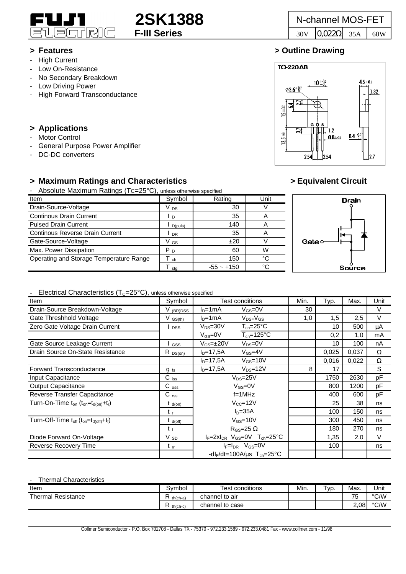

- High Current
- Low On-Resistance
- No Secondary Breakdown
- Low Driving Power
- High Forward Transconductance

# **> Applications**

- Motor Control
- General Purpose Power Amplifier
- DC-DC converters

# **> Maximum Ratings and Characteristics > Equivalent Circuit**

Absolute Maximum Ratings (Tc=25°C), unless otherwise specified

| Item                                    | Symbol          | Rating       | Unit           |   |
|-----------------------------------------|-----------------|--------------|----------------|---|
| Drain-Source-Voltage                    | V <sub>DS</sub> | 30           |                |   |
| <b>Continous Drain Current</b>          | I D             | 35           | $\mathsf{A}$   |   |
| <b>Pulsed Drain Current</b>             | D(puls)         | 140          | $\overline{A}$ |   |
| <b>Continous Reverse Drain Current</b>  | <b>DR</b>       | 35           | $\overline{A}$ |   |
| Gate-Source-Voltage                     | V <sub>GS</sub> | ±20          |                | G |
| Max. Power Dissipation                  | P <sub>D</sub>  | 60           | W              |   |
| Operating and Storage Temperature Range | ch              | 150          | °C             |   |
|                                         | sta             | $-55 - +150$ | °C             |   |



## Flectrical Characteristics  $(T_{c}=25^{\circ}C)$ , unless otherwise specified

| Libothodi Origiaotoriotios (TC-20 O), anicss otherwise specifica |                      |                                                       |      |       |       |      |
|------------------------------------------------------------------|----------------------|-------------------------------------------------------|------|-------|-------|------|
| Item                                                             | Symbol               | <b>Test conditions</b>                                | Min. | Typ.  | Max.  | Unit |
| Drain-Source Breakdown-Voltage                                   | V <sub>(BR)DSS</sub> | $V_{GS} = 0V$<br>$ln=1mA$                             | 30   |       |       | V    |
| Gate Threshhold Voltage                                          | $V_{GS(th)}$         | $V_{DS=}V_{GS}$<br>$ID=1mA$                           | 1,0  | 1,5   | 2,5   | V    |
| Zero Gate Voltage Drain Current                                  | <b>DSS</b>           | $\mathsf{T}_{\mathsf{ch}}$ =25°C<br>$V_{DS}=30V$      |      | 10    | 500   | μA   |
|                                                                  |                      | $V_{GS}=$ 0V<br>$T_{ch} = 125$ °C                     |      | 0,2   | 1,0   | mA   |
| Gate Source Leakage Current                                      | GSS                  | $V_{DS}=0V$<br>$V_{GS} = \pm 20V$                     |      | 10    | 100   | nA   |
| Drain Source On-State Resistance                                 | $R_{DS(on)}$         | $ID=17,5A$<br>$V_{GS} = 4V$                           |      | 0,025 | 0,037 | Ω    |
|                                                                  |                      | $ID=17.5A$<br>$V_{GS} = 10V$                          |      | 0,016 | 0,022 | Ω    |
| Forward Transconductance                                         | $g_{fs}$             | $V_{DS}=12V$<br>$ID=17,5A$                            | 8    | 17    |       | S    |
| Input Capacitance                                                | $C$ iss              | $V_{DS} = 25V$                                        |      | 1750  | 2630  | pF   |
| <b>Output Capacitance</b>                                        | $C_{\rm oss}$        | $V_{GS}=0V$                                           |      | 800   | 1200  | pF   |
| Reverse Transfer Capacitance                                     | $C$ <sub>rss</sub>   | $f=1$ MHz                                             |      | 400   | 600   | pF   |
| Turn-On-Time $t_{on}$ ( $t_{on} = t_{d(on)} + t_r$ )             | $t_{d(on)}$          | $V_{CC} = 12V$                                        |      | 25    | 38    | ns   |
|                                                                  | t,                   | $ID=35A$                                              |      | 100   | 150   | ns   |
| Turn-Off-Time $t_{off}$ ( $t_{on} = t_{d (off)} + t_f$ )         | $t_{d(off)}$         | $V_{GS}$ =10V                                         |      | 300   | 450   | ns   |
|                                                                  | t f                  | $R_{GS}$ =25 $\Omega$                                 |      | 180   | 270   | ns   |
| Diode Forward On-Voltage                                         | $V_{SD}$             | $I_F = 2xI_{DR}$ $V_{GS} = 0V$ $T_{ch} = 25^{\circ}C$ |      | 1,35  | 2,0   | V    |
| Reverse Recovery Time                                            | $t_{\rm rr}$         | $I_F = I_{DR}$ $V_{GS} = 0V$                          |      | 100   |       | ns   |
|                                                                  |                      | -dl <sub>F</sub> /dt=100A/us $T_{ch}$ =25°C           |      |       |       |      |

### Thermal Characteristics

| Item                      | Symbol          | conditions<br>est    | Min. | ' VD. | Max. | Unit          |
|---------------------------|-----------------|----------------------|------|-------|------|---------------|
| <b>Thermal Resistance</b> | th(ch-a)        | channel to air       |      |       | 75   | $\degree$ C/W |
|                           | -<br>$th(ch-c)$ | l to case<br>channel |      |       | 2,08 | °C/W          |

Collmer Semiconductor - P.O. Box 702708 - Dallas TX - 75370 - 972.233.1589 - 972.233.0481 Fax - www.collmer.com - 11/98



# **> Features > Outline Drawing**